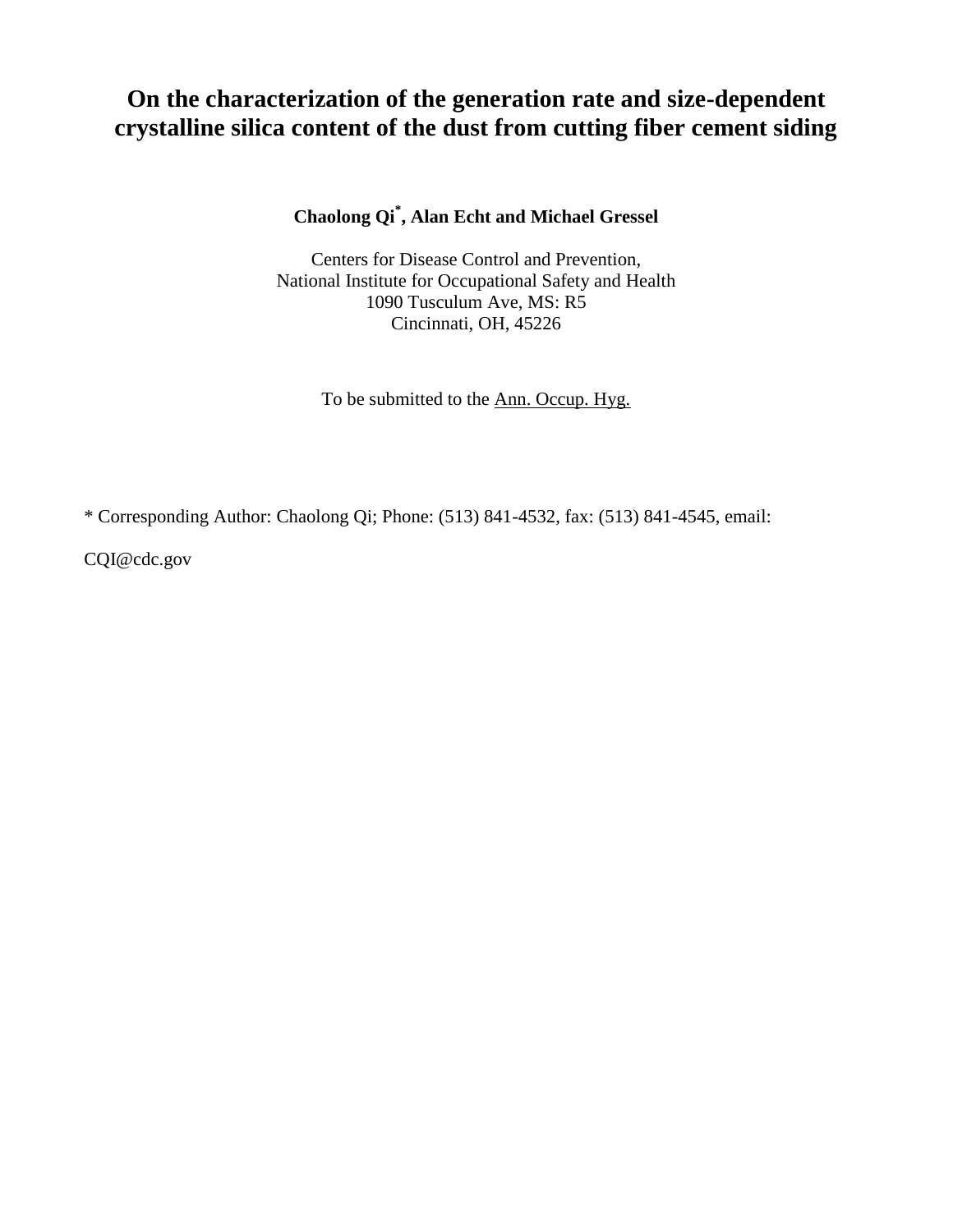# **On the characterization of the generation rate and size-dependent crystalline silica content of the dust from cutting fiber cement siding**

**Chaolong Qi\* , Alan Echt and Michael Gressel** 

Centers for Disease Control and Prevention, National Institute for Occupational Safety and Health 1090 Tusculum Ave, MS: R5 Cincinnati, OH, 45226

To be submitted to the Ann. Occup. Hyg.

\* Corresponding Author: Chaolong Qi; Phone: (513) 841-4532, fax: (513) 841-4545, email:

CQI@cdc.gov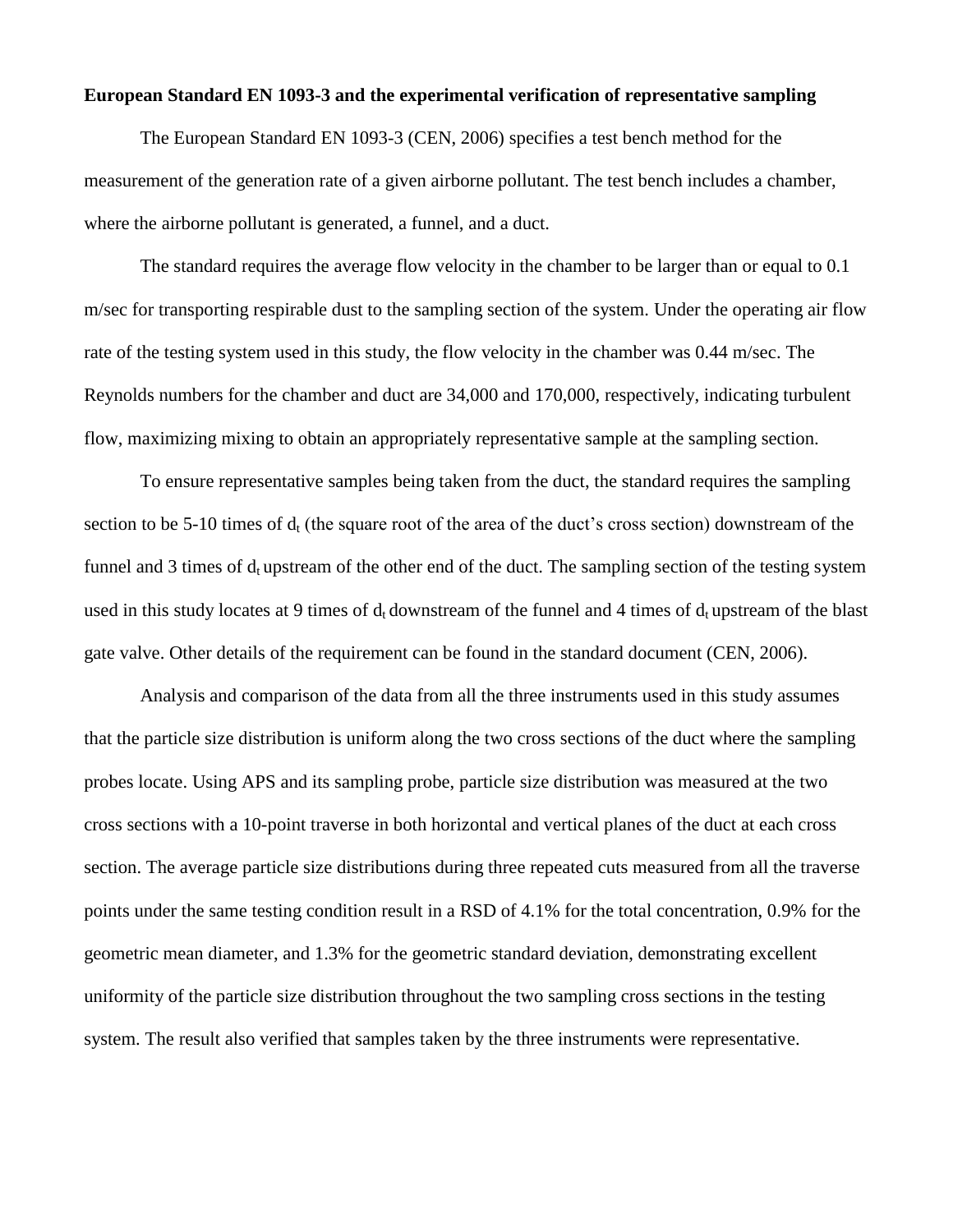## **European Standard EN 1093-3 and the experimental verification of representative sampling**

The European Standard EN 1093-3 (CEN, 2006) specifies a test bench method for the measurement of the generation rate of a given airborne pollutant. The test bench includes a chamber, where the airborne pollutant is generated, a funnel, and a duct.

The standard requires the average flow velocity in the chamber to be larger than or equal to 0.1 m/sec for transporting respirable dust to the sampling section of the system. Under the operating air flow rate of the testing system used in this study, the flow velocity in the chamber was 0.44 m/sec. The Reynolds numbers for the chamber and duct are 34,000 and 170,000, respectively, indicating turbulent flow, maximizing mixing to obtain an appropriately representative sample at the sampling section.

To ensure representative samples being taken from the duct, the standard requires the sampling section to be 5-10 times of d<sub>t</sub> (the square root of the area of the duct's cross section) downstream of the funnel and 3 times of d<sub>t</sub> upstream of the other end of the duct. The sampling section of the testing system used in this study locates at 9 times of  $d_t$  downstream of the funnel and 4 times of  $d_t$  upstream of the blast gate valve. Other details of the requirement can be found in the standard document (CEN, 2006).

Analysis and comparison of the data from all the three instruments used in this study assumes that the particle size distribution is uniform along the two cross sections of the duct where the sampling probes locate. Using APS and its sampling probe, particle size distribution was measured at the two cross sections with a 10-point traverse in both horizontal and vertical planes of the duct at each cross section. The average particle size distributions during three repeated cuts measured from all the traverse points under the same testing condition result in a RSD of 4.1% for the total concentration, 0.9% for the geometric mean diameter, and 1.3% for the geometric standard deviation, demonstrating excellent uniformity of the particle size distribution throughout the two sampling cross sections in the testing system. The result also verified that samples taken by the three instruments were representative.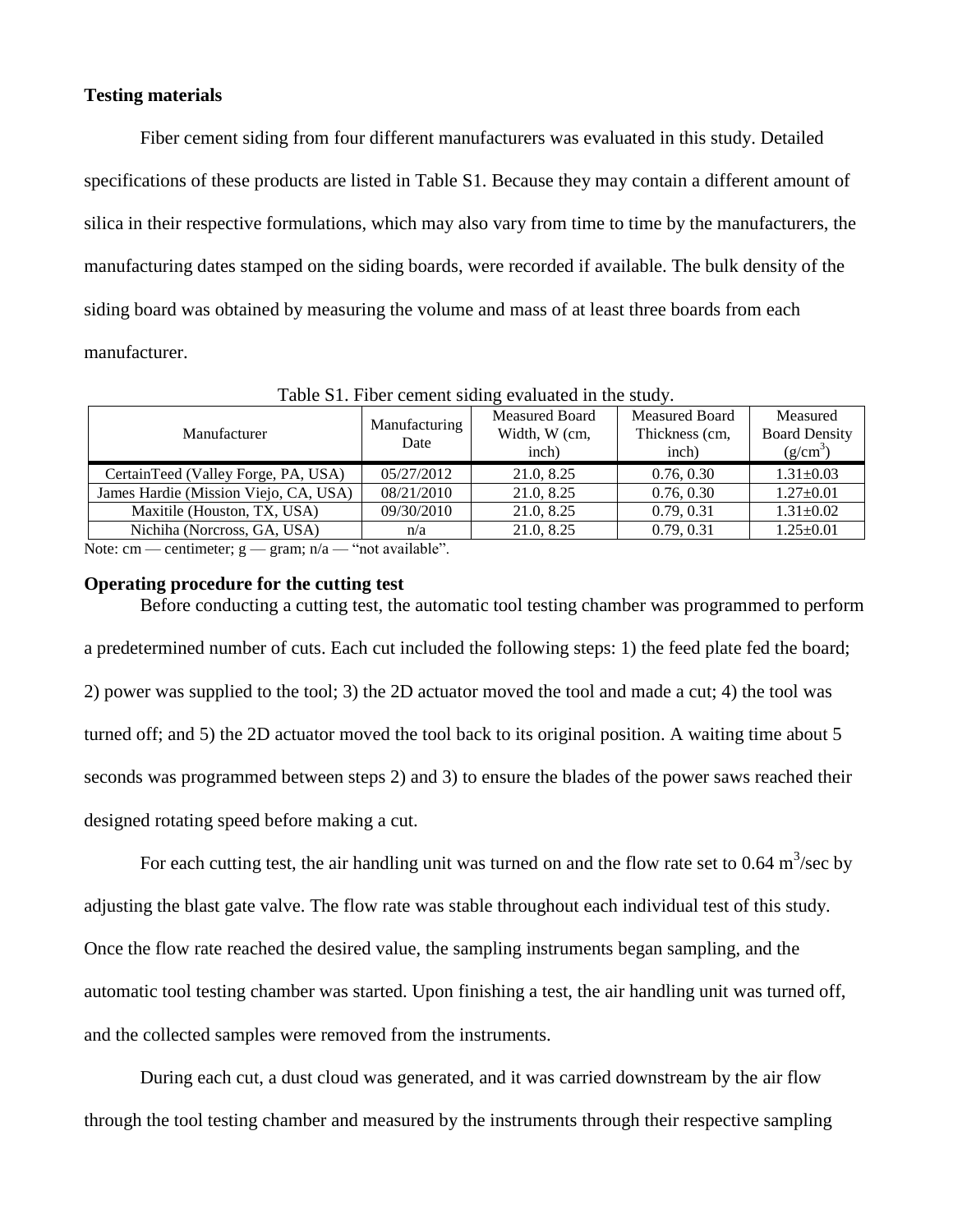#### **Testing materials**

Fiber cement siding from four different manufacturers was evaluated in this study. Detailed specifications of these products are listed in Table S1. Because they may contain a different amount of silica in their respective formulations, which may also vary from time to time by the manufacturers, the manufacturing dates stamped on the siding boards, were recorded if available. The bulk density of the siding board was obtained by measuring the volume and mass of at least three boards from each manufacturer.

| Manufacturer                          | Manufacturing<br>Date | <b>Measured Board</b> | Measured Board | Measured             |  |  |  |
|---------------------------------------|-----------------------|-----------------------|----------------|----------------------|--|--|--|
|                                       |                       | Width, W (cm,         | Thickness (cm, | <b>Board Density</b> |  |  |  |
|                                       |                       | inch)                 | inch)          | $(g/cm^3)$           |  |  |  |
| CertainTeed (Valley Forge, PA, USA)   | 05/27/2012            | 21.0, 8.25            | 0.76, 0.30     | $1.31 \pm 0.03$      |  |  |  |
| James Hardie (Mission Viejo, CA, USA) | 08/21/2010            | 21.0, 8.25            | 0.76, 0.30     | $1.27 \pm 0.01$      |  |  |  |
| Maxitile (Houston, TX, USA)           | 09/30/2010            | 21.0, 8.25            | 0.79, 0.31     | $1.31 \pm 0.02$      |  |  |  |
| Nichiha (Norcross, GA, USA)           | n/a                   | 21.0, 8.25            | 0.79, 0.31     | $1.25 \pm 0.01$      |  |  |  |
|                                       |                       |                       |                |                      |  |  |  |

Table S1. Fiber cement siding evaluated in the study.

Note: cm — centimeter;  $g$  — gram;  $n/a$  — "not available".

#### **Operating procedure for the cutting test**

Before conducting a cutting test, the automatic tool testing chamber was programmed to perform a predetermined number of cuts. Each cut included the following steps: 1) the feed plate fed the board; 2) power was supplied to the tool; 3) the 2D actuator moved the tool and made a cut; 4) the tool was turned off; and 5) the 2D actuator moved the tool back to its original position. A waiting time about 5 seconds was programmed between steps 2) and 3) to ensure the blades of the power saws reached their designed rotating speed before making a cut.

For each cutting test, the air handling unit was turned on and the flow rate set to  $0.64 \text{ m}^3/\text{sec}$  by adjusting the blast gate valve. The flow rate was stable throughout each individual test of this study. Once the flow rate reached the desired value, the sampling instruments began sampling, and the automatic tool testing chamber was started. Upon finishing a test, the air handling unit was turned off, and the collected samples were removed from the instruments.

During each cut, a dust cloud was generated, and it was carried downstream by the air flow through the tool testing chamber and measured by the instruments through their respective sampling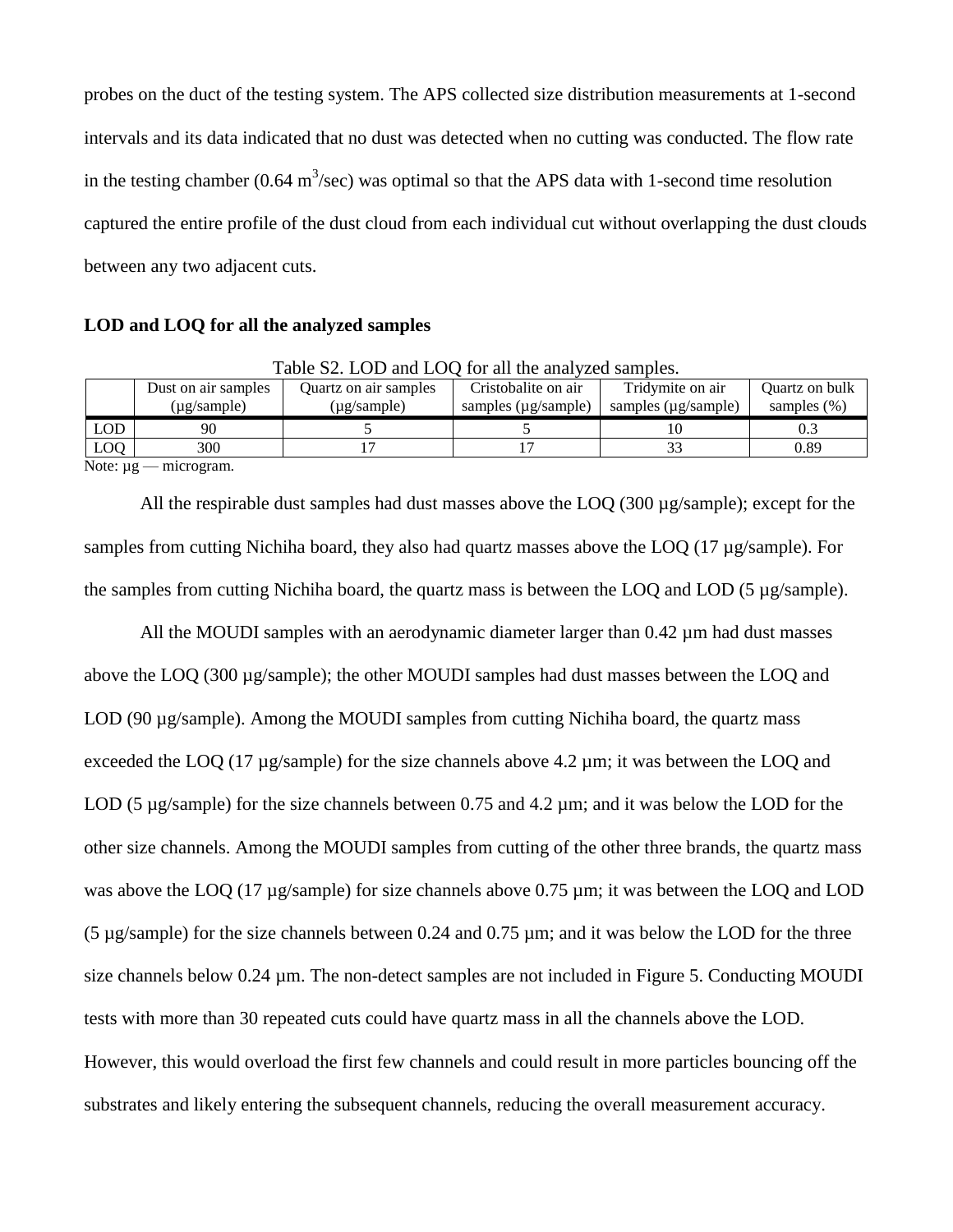probes on the duct of the testing system. The APS collected size distribution measurements at 1-second intervals and its data indicated that no dust was detected when no cutting was conducted. The flow rate in the testing chamber (0.64 m<sup>3</sup>/sec) was optimal so that the APS data with 1-second time resolution captured the entire profile of the dust cloud from each individual cut without overlapping the dust clouds between any two adjacent cuts.

## **LOD and LOQ for all the analyzed samples**

|              | Dust on air samples | Quartz on air samples | Cristobalite on air | Tridymite on air         | Ouartz on bulk  |
|--------------|---------------------|-----------------------|---------------------|--------------------------|-----------------|
|              | $(\mu$ g/sample)    | (µg/sample)           | samples (µg/sample) | samples $(\mu$ g/sample) | samples $(\% )$ |
| $\text{LOD}$ | 90                  |                       |                     |                          |                 |
| <b>LOQ</b>   | 300                 |                       |                     |                          | 0.89            |

Note:  $\mu$ g — microgram.

All the respirable dust samples had dust masses above the LOQ (300 µg/sample); except for the samples from cutting Nichiha board, they also had quartz masses above the LOQ (17 µg/sample). For the samples from cutting Nichiha board, the quartz mass is between the LOQ and LOD (5 µg/sample).

All the MOUDI samples with an aerodynamic diameter larger than 0.42 µm had dust masses above the LOQ (300 µg/sample); the other MOUDI samples had dust masses between the LOQ and LOD (90 µg/sample). Among the MOUDI samples from cutting Nichiha board, the quartz mass exceeded the LOQ (17 µg/sample) for the size channels above 4.2 µm; it was between the LOQ and LOD (5 µg/sample) for the size channels between 0.75 and 4.2 µm; and it was below the LOD for the other size channels. Among the MOUDI samples from cutting of the other three brands, the quartz mass was above the LOQ (17 µg/sample) for size channels above 0.75 µm; it was between the LOQ and LOD (5 µg/sample) for the size channels between 0.24 and 0.75 µm; and it was below the LOD for the three size channels below 0.24  $\mu$ m. The non-detect samples are not included in Figure 5. Conducting MOUDI tests with more than 30 repeated cuts could have quartz mass in all the channels above the LOD. However, this would overload the first few channels and could result in more particles bouncing off the substrates and likely entering the subsequent channels, reducing the overall measurement accuracy.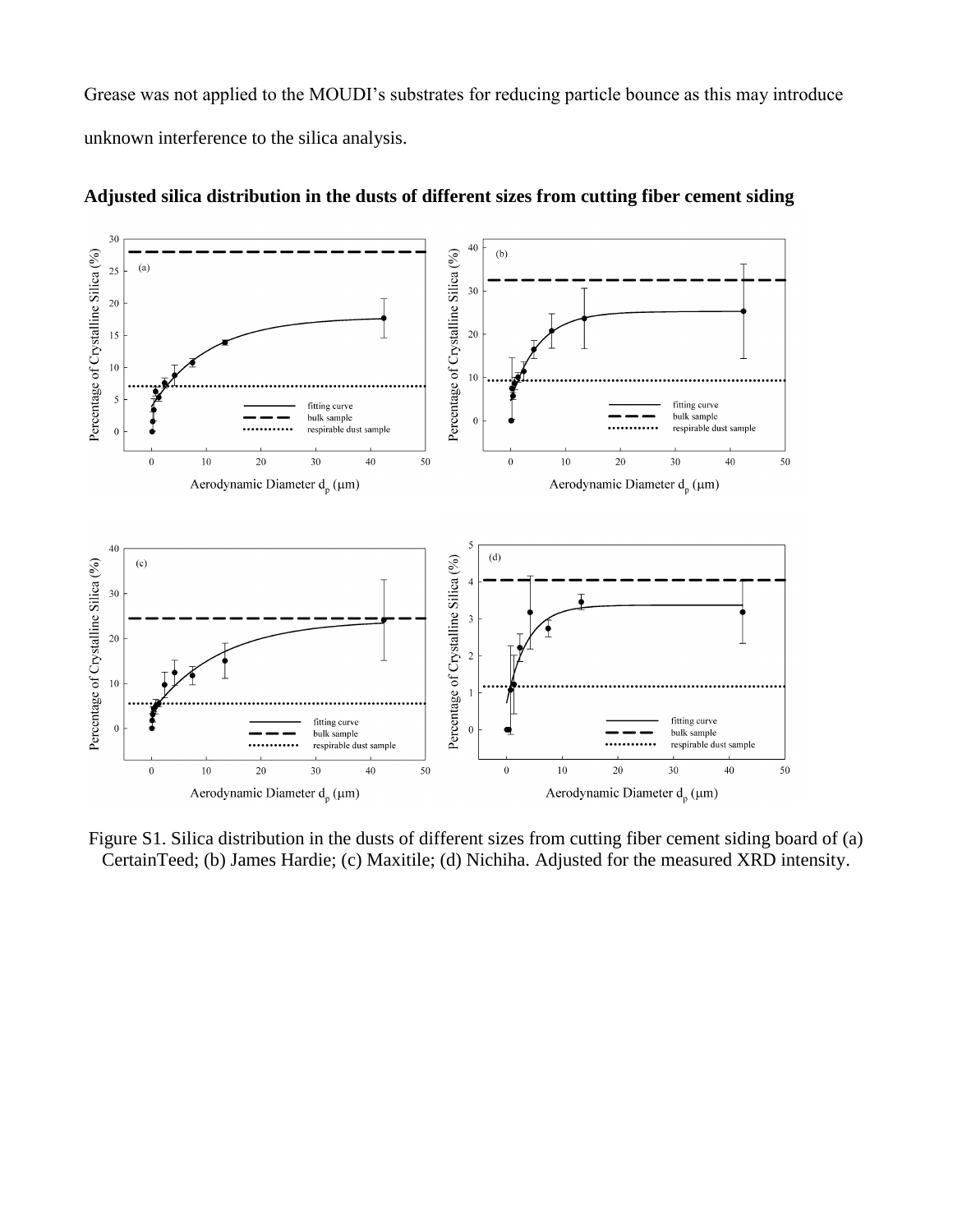Grease was not applied to the MOUDI's substrates for reducing particle bounce as this may introduce unknown interference to the silica analysis.



**Adjusted silica distribution in the dusts of different sizes from cutting fiber cement siding**

Figure S1. Silica distribution in the dusts of different sizes from cutting fiber cement siding board of (a) CertainTeed; (b) James Hardie; (c) Maxitile; (d) Nichiha. Adjusted for the measured XRD intensity.